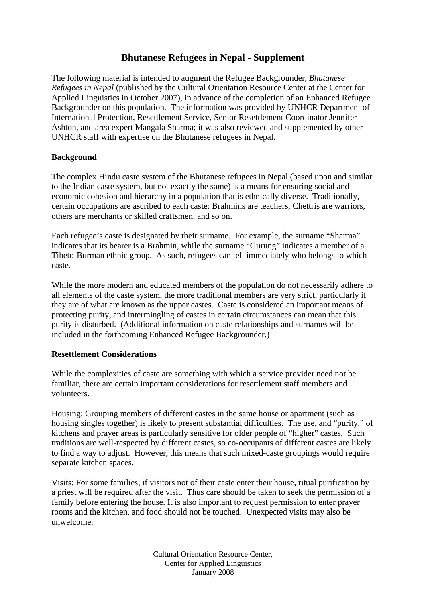## **Bhutanese Refugees in Nepal - Supplement**

The following material is intended to augment the Refugee Backgrounder, *Bhutanese Refugees in Nepal* (published by the Cultural Orientation Resource Center at the Center for Applied Linguistics in October 2007), in advance of the completion of an Enhanced Refugee Backgrounder on this population. The information was provided by UNHCR Department of International Protection, Resettlement Service, Senior Resettlement Coordinator Jennifer Ashton, and area expert Mangala Sharma; it was also reviewed and supplemented by other UNHCR staff with expertise on the Bhutanese refugees in Nepal.

## **Background**

The complex Hindu caste system of the Bhutanese refugees in Nepal (based upon and similar to the Indian caste system, but not exactly the same) is a means for ensuring social and economic cohesion and hierarchy in a population that is ethnically diverse. Traditionally, certain occupations are ascribed to each caste: Brahmins are teachers, Chettris are warriors, others are merchants or skilled craftsmen, and so on.

Each refugee's caste is designated by their surname. For example, the surname "Sharma" indicates that its bearer is a Brahmin, while the surname "Gurung" indicates a member of a Tibeto-Burman ethnic group. As such, refugees can tell immediately who belongs to which caste.

While the more modern and educated members of the population do not necessarily adhere to all elements of the caste system, the more traditional members are very strict, particularly if they are of what are known as the upper castes. Caste is considered an important means of protecting purity, and intermingling of castes in certain circumstances can mean that this purity is disturbed. (Additional information on caste relationships and surnames will be included in the forthcoming Enhanced Refugee Backgrounder.)

## **Resettlement Considerations**

While the complexities of caste are something with which a service provider need not be familiar, there are certain important considerations for resettlement staff members and volunteers.

Housing: Grouping members of different castes in the same house or apartment (such as housing singles together) is likely to present substantial difficulties. The use, and "purity," of kitchens and prayer areas is particularly sensitive for older people of "higher" castes. Such traditions are well-respected by different castes, so co-occupants of different castes are likely to find a way to adjust. However, this means that such mixed-caste groupings would require separate kitchen spaces.

Visits: For some families, if visitors not of their caste enter their house, ritual purification by a priest will be required after the visit. Thus care should be taken to seek the permission of a family before entering the house. It is also important to request permission to enter prayer rooms and the kitchen, and food should not be touched. Unexpected visits may also be unwelcome.

> Cultural Orientation Resource Center, Center for Applied Linguistics January 2008